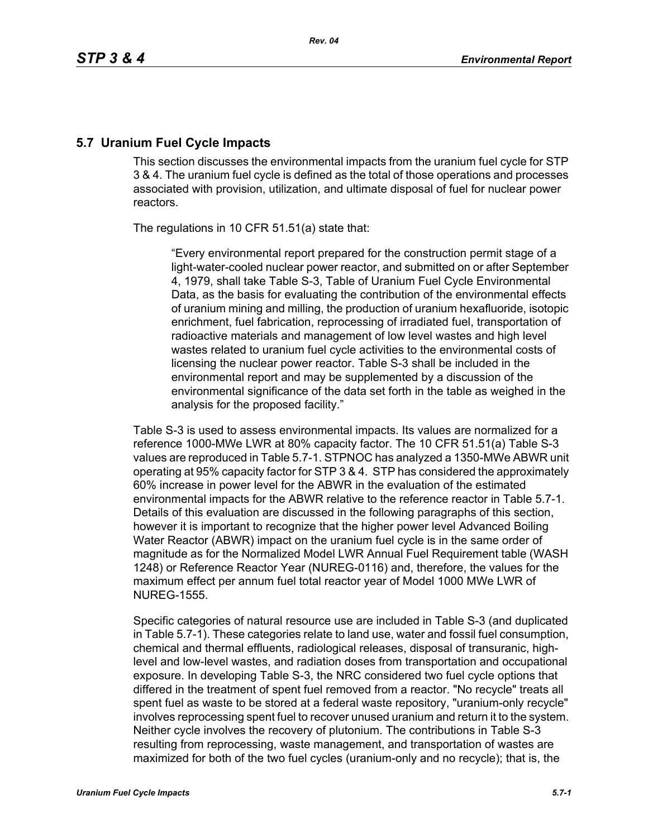# **5.7 Uranium Fuel Cycle Impacts**

This section discusses the environmental impacts from the uranium fuel cycle for STP 3 & 4. The uranium fuel cycle is defined as the total of those operations and processes associated with provision, utilization, and ultimate disposal of fuel for nuclear power reactors.

The regulations in 10 CFR 51.51(a) state that:

"Every environmental report prepared for the construction permit stage of a light-water-cooled nuclear power reactor, and submitted on or after September 4, 1979, shall take Table S-3, Table of Uranium Fuel Cycle Environmental Data, as the basis for evaluating the contribution of the environmental effects of uranium mining and milling, the production of uranium hexafluoride, isotopic enrichment, fuel fabrication, reprocessing of irradiated fuel, transportation of radioactive materials and management of low level wastes and high level wastes related to uranium fuel cycle activities to the environmental costs of licensing the nuclear power reactor. Table S-3 shall be included in the environmental report and may be supplemented by a discussion of the environmental significance of the data set forth in the table as weighed in the analysis for the proposed facility."

Table S-3 is used to assess environmental impacts. Its values are normalized for a reference 1000-MWe LWR at 80% capacity factor. The 10 CFR 51.51(a) Table S-3 values are reproduced in Table 5.7-1. STPNOC has analyzed a 1350-MWe ABWR unit operating at 95% capacity factor for STP 3 & 4. STP has considered the approximately 60% increase in power level for the ABWR in the evaluation of the estimated environmental impacts for the ABWR relative to the reference reactor in Table 5.7-1. Details of this evaluation are discussed in the following paragraphs of this section, however it is important to recognize that the higher power level Advanced Boiling Water Reactor (ABWR) impact on the uranium fuel cycle is in the same order of magnitude as for the Normalized Model LWR Annual Fuel Requirement table (WASH 1248) or Reference Reactor Year (NUREG-0116) and, therefore, the values for the maximum effect per annum fuel total reactor year of Model 1000 MWe LWR of NUREG-1555.

Specific categories of natural resource use are included in Table S-3 (and duplicated in Table 5.7-1). These categories relate to land use, water and fossil fuel consumption, chemical and thermal effluents, radiological releases, disposal of transuranic, highlevel and low-level wastes, and radiation doses from transportation and occupational exposure. In developing Table S-3, the NRC considered two fuel cycle options that differed in the treatment of spent fuel removed from a reactor. "No recycle" treats all spent fuel as waste to be stored at a federal waste repository, "uranium-only recycle" involves reprocessing spent fuel to recover unused uranium and return it to the system. Neither cycle involves the recovery of plutonium. The contributions in Table S-3 resulting from reprocessing, waste management, and transportation of wastes are maximized for both of the two fuel cycles (uranium-only and no recycle); that is, the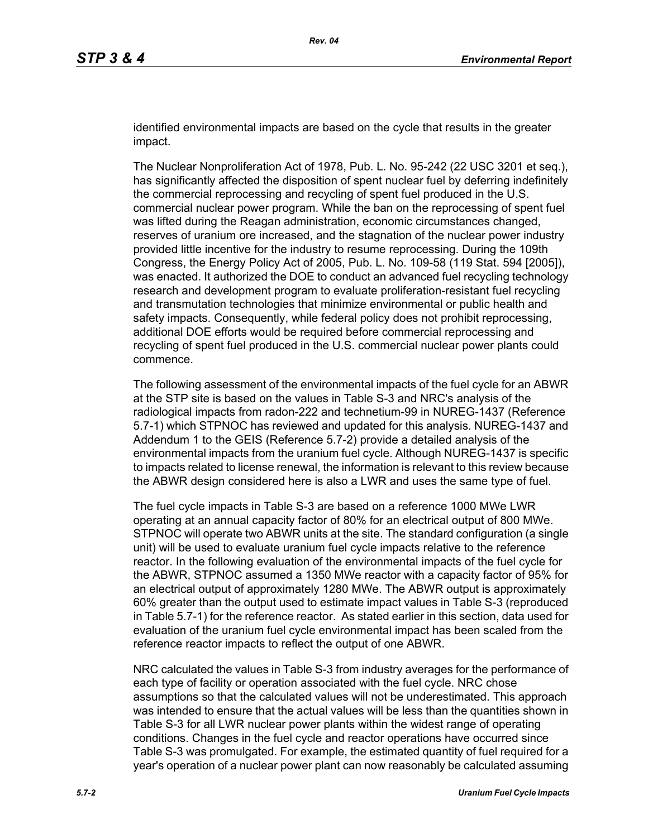identified environmental impacts are based on the cycle that results in the greater impact.

The Nuclear Nonproliferation Act of 1978, Pub. L. No. 95-242 (22 USC 3201 et seq.), has significantly affected the disposition of spent nuclear fuel by deferring indefinitely the commercial reprocessing and recycling of spent fuel produced in the U.S. commercial nuclear power program. While the ban on the reprocessing of spent fuel was lifted during the Reagan administration, economic circumstances changed, reserves of uranium ore increased, and the stagnation of the nuclear power industry provided little incentive for the industry to resume reprocessing. During the 109th Congress, the Energy Policy Act of 2005, Pub. L. No. 109-58 (119 Stat. 594 [2005]), was enacted. It authorized the DOE to conduct an advanced fuel recycling technology research and development program to evaluate proliferation-resistant fuel recycling and transmutation technologies that minimize environmental or public health and safety impacts. Consequently, while federal policy does not prohibit reprocessing, additional DOE efforts would be required before commercial reprocessing and recycling of spent fuel produced in the U.S. commercial nuclear power plants could commence.

The following assessment of the environmental impacts of the fuel cycle for an ABWR at the STP site is based on the values in Table S-3 and NRC's analysis of the radiological impacts from radon-222 and technetium-99 in NUREG-1437 (Reference 5.7-1) which STPNOC has reviewed and updated for this analysis. NUREG-1437 and Addendum 1 to the GEIS (Reference 5.7-2) provide a detailed analysis of the environmental impacts from the uranium fuel cycle. Although NUREG-1437 is specific to impacts related to license renewal, the information is relevant to this review because the ABWR design considered here is also a LWR and uses the same type of fuel.

The fuel cycle impacts in Table S-3 are based on a reference 1000 MWe LWR operating at an annual capacity factor of 80% for an electrical output of 800 MWe. STPNOC will operate two ABWR units at the site. The standard configuration (a single unit) will be used to evaluate uranium fuel cycle impacts relative to the reference reactor. In the following evaluation of the environmental impacts of the fuel cycle for the ABWR, STPNOC assumed a 1350 MWe reactor with a capacity factor of 95% for an electrical output of approximately 1280 MWe. The ABWR output is approximately 60% greater than the output used to estimate impact values in Table S-3 (reproduced in Table 5.7-1) for the reference reactor. As stated earlier in this section, data used for evaluation of the uranium fuel cycle environmental impact has been scaled from the reference reactor impacts to reflect the output of one ABWR.

NRC calculated the values in Table S-3 from industry averages for the performance of each type of facility or operation associated with the fuel cycle. NRC chose assumptions so that the calculated values will not be underestimated. This approach was intended to ensure that the actual values will be less than the quantities shown in Table S-3 for all LWR nuclear power plants within the widest range of operating conditions. Changes in the fuel cycle and reactor operations have occurred since Table S-3 was promulgated. For example, the estimated quantity of fuel required for a year's operation of a nuclear power plant can now reasonably be calculated assuming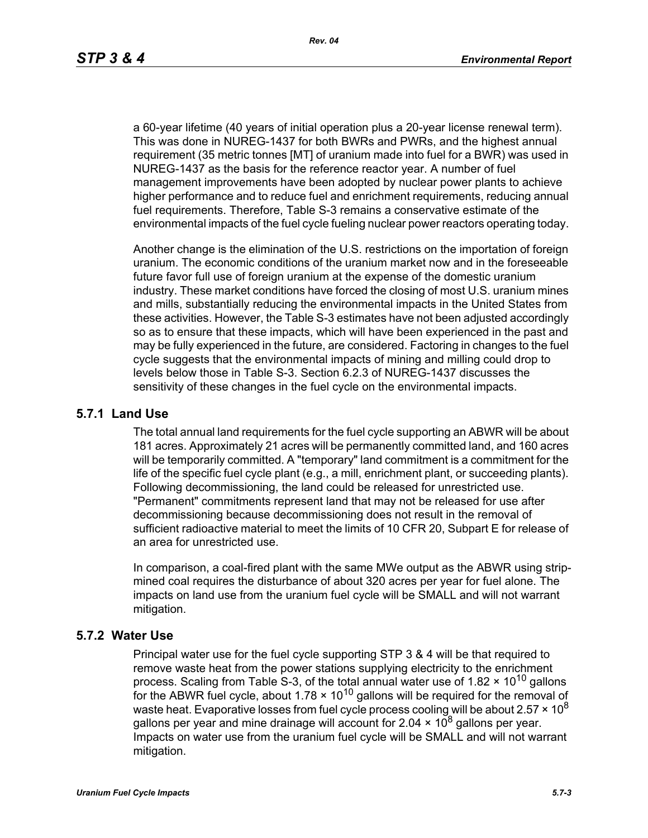a 60-year lifetime (40 years of initial operation plus a 20-year license renewal term). This was done in NUREG-1437 for both BWRs and PWRs, and the highest annual requirement (35 metric tonnes [MT] of uranium made into fuel for a BWR) was used in NUREG-1437 as the basis for the reference reactor year. A number of fuel management improvements have been adopted by nuclear power plants to achieve higher performance and to reduce fuel and enrichment requirements, reducing annual fuel requirements. Therefore, Table S-3 remains a conservative estimate of the environmental impacts of the fuel cycle fueling nuclear power reactors operating today.

Another change is the elimination of the U.S. restrictions on the importation of foreign uranium. The economic conditions of the uranium market now and in the foreseeable future favor full use of foreign uranium at the expense of the domestic uranium industry. These market conditions have forced the closing of most U.S. uranium mines and mills, substantially reducing the environmental impacts in the United States from these activities. However, the Table S-3 estimates have not been adjusted accordingly so as to ensure that these impacts, which will have been experienced in the past and may be fully experienced in the future, are considered. Factoring in changes to the fuel cycle suggests that the environmental impacts of mining and milling could drop to levels below those in Table S-3. Section 6.2.3 of NUREG-1437 discusses the sensitivity of these changes in the fuel cycle on the environmental impacts.

### **5.7.1 Land Use**

The total annual land requirements for the fuel cycle supporting an ABWR will be about 181 acres. Approximately 21 acres will be permanently committed land, and 160 acres will be temporarily committed. A "temporary" land commitment is a commitment for the life of the specific fuel cycle plant (e.g., a mill, enrichment plant, or succeeding plants). Following decommissioning, the land could be released for unrestricted use. "Permanent" commitments represent land that may not be released for use after decommissioning because decommissioning does not result in the removal of sufficient radioactive material to meet the limits of 10 CFR 20, Subpart E for release of an area for unrestricted use.

In comparison, a coal-fired plant with the same MWe output as the ABWR using stripmined coal requires the disturbance of about 320 acres per year for fuel alone. The impacts on land use from the uranium fuel cycle will be SMALL and will not warrant mitigation.

### **5.7.2 Water Use**

Principal water use for the fuel cycle supporting STP 3 & 4 will be that required to remove waste heat from the power stations supplying electricity to the enrichment process. Scaling from Table S-3, of the total annual water use of 1.82  $\times$  10<sup>10</sup> gallons for the ABWR fuel cycle, about  $1.78 \times 10^{10}$  gallons will be required for the removal of waste heat. Evaporative losses from fuel cycle process cooling will be about  $2.57 \times 10^8$ gallons per year and mine drainage will account for 2.04  $\times$  10<sup>8</sup> gallons per year. Impacts on water use from the uranium fuel cycle will be SMALL and will not warrant mitigation.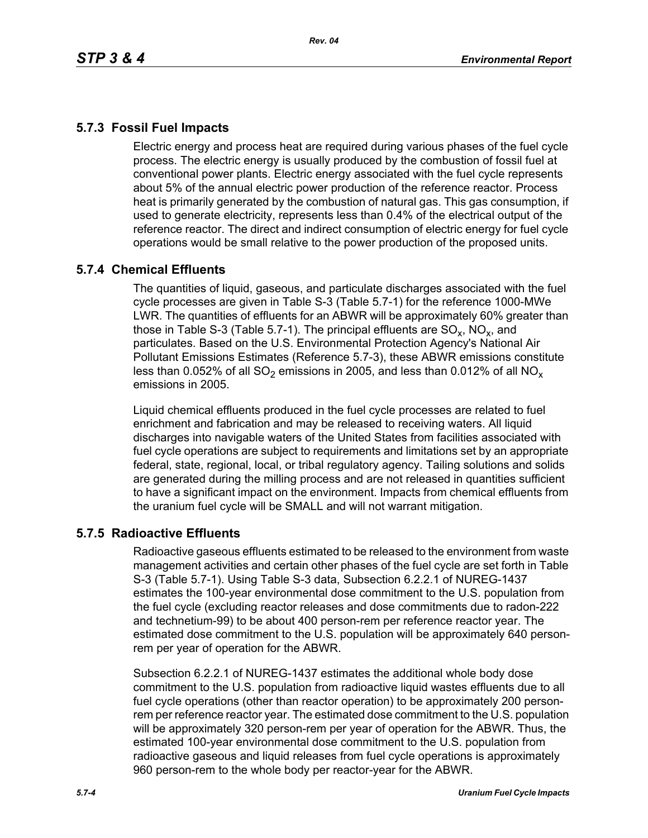# **5.7.3 Fossil Fuel Impacts**

Electric energy and process heat are required during various phases of the fuel cycle process. The electric energy is usually produced by the combustion of fossil fuel at conventional power plants. Electric energy associated with the fuel cycle represents about 5% of the annual electric power production of the reference reactor. Process heat is primarily generated by the combustion of natural gas. This gas consumption, if used to generate electricity, represents less than 0.4% of the electrical output of the reference reactor. The direct and indirect consumption of electric energy for fuel cycle operations would be small relative to the power production of the proposed units.

## **5.7.4 Chemical Effluents**

The quantities of liquid, gaseous, and particulate discharges associated with the fuel cycle processes are given in Table S-3 (Table 5.7-1) for the reference 1000-MWe LWR. The quantities of effluents for an ABWR will be approximately 60% greater than those in Table S-3 (Table 5.7-1). The principal effluents are  $SO_x$ , NO<sub>x</sub>, and particulates. Based on the U.S. Environmental Protection Agency's National Air Pollutant Emissions Estimates (Reference 5.7-3), these ABWR emissions constitute less than 0.052% of all  $SO_2$  emissions in 2005, and less than 0.012% of all  $NO_x$ emissions in 2005.

Liquid chemical effluents produced in the fuel cycle processes are related to fuel enrichment and fabrication and may be released to receiving waters. All liquid discharges into navigable waters of the United States from facilities associated with fuel cycle operations are subject to requirements and limitations set by an appropriate federal, state, regional, local, or tribal regulatory agency. Tailing solutions and solids are generated during the milling process and are not released in quantities sufficient to have a significant impact on the environment. Impacts from chemical effluents from the uranium fuel cycle will be SMALL and will not warrant mitigation.

## **5.7.5 Radioactive Effluents**

Radioactive gaseous effluents estimated to be released to the environment from waste management activities and certain other phases of the fuel cycle are set forth in Table S-3 (Table 5.7-1). Using Table S-3 data, Subsection 6.2.2.1 of NUREG-1437 estimates the 100-year environmental dose commitment to the U.S. population from the fuel cycle (excluding reactor releases and dose commitments due to radon-222 and technetium-99) to be about 400 person-rem per reference reactor year. The estimated dose commitment to the U.S. population will be approximately 640 personrem per year of operation for the ABWR.

Subsection 6.2.2.1 of NUREG-1437 estimates the additional whole body dose commitment to the U.S. population from radioactive liquid wastes effluents due to all fuel cycle operations (other than reactor operation) to be approximately 200 personrem per reference reactor year. The estimated dose commitment to the U.S. population will be approximately 320 person-rem per year of operation for the ABWR. Thus, the estimated 100-year environmental dose commitment to the U.S. population from radioactive gaseous and liquid releases from fuel cycle operations is approximately 960 person-rem to the whole body per reactor-year for the ABWR.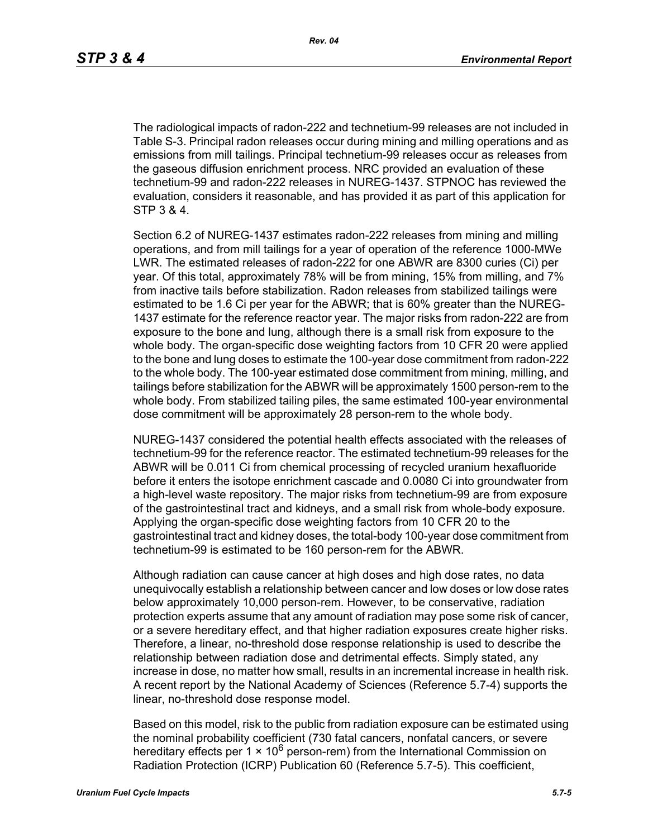The radiological impacts of radon-222 and technetium-99 releases are not included in Table S-3. Principal radon releases occur during mining and milling operations and as emissions from mill tailings. Principal technetium-99 releases occur as releases from the gaseous diffusion enrichment process. NRC provided an evaluation of these technetium-99 and radon-222 releases in NUREG-1437. STPNOC has reviewed the evaluation, considers it reasonable, and has provided it as part of this application for STP 3 & 4.

Section 6.2 of NUREG-1437 estimates radon-222 releases from mining and milling operations, and from mill tailings for a year of operation of the reference 1000-MWe LWR. The estimated releases of radon-222 for one ABWR are 8300 curies (Ci) per year. Of this total, approximately 78% will be from mining, 15% from milling, and 7% from inactive tails before stabilization. Radon releases from stabilized tailings were estimated to be 1.6 Ci per year for the ABWR; that is 60% greater than the NUREG-1437 estimate for the reference reactor year. The major risks from radon-222 are from exposure to the bone and lung, although there is a small risk from exposure to the whole body. The organ-specific dose weighting factors from 10 CFR 20 were applied to the bone and lung doses to estimate the 100-year dose commitment from radon-222 to the whole body. The 100-year estimated dose commitment from mining, milling, and tailings before stabilization for the ABWR will be approximately 1500 person-rem to the whole body. From stabilized tailing piles, the same estimated 100-year environmental dose commitment will be approximately 28 person-rem to the whole body.

NUREG-1437 considered the potential health effects associated with the releases of technetium-99 for the reference reactor. The estimated technetium-99 releases for the ABWR will be 0.011 Ci from chemical processing of recycled uranium hexafluoride before it enters the isotope enrichment cascade and 0.0080 Ci into groundwater from a high-level waste repository. The major risks from technetium-99 are from exposure of the gastrointestinal tract and kidneys, and a small risk from whole-body exposure. Applying the organ-specific dose weighting factors from 10 CFR 20 to the gastrointestinal tract and kidney doses, the total-body 100-year dose commitment from technetium-99 is estimated to be 160 person-rem for the ABWR.

Although radiation can cause cancer at high doses and high dose rates, no data unequivocally establish a relationship between cancer and low doses or low dose rates below approximately 10,000 person-rem. However, to be conservative, radiation protection experts assume that any amount of radiation may pose some risk of cancer, or a severe hereditary effect, and that higher radiation exposures create higher risks. Therefore, a linear, no-threshold dose response relationship is used to describe the relationship between radiation dose and detrimental effects. Simply stated, any increase in dose, no matter how small, results in an incremental increase in health risk. A recent report by the National Academy of Sciences (Reference 5.7-4) supports the linear, no-threshold dose response model.

Based on this model, risk to the public from radiation exposure can be estimated using the nominal probability coefficient (730 fatal cancers, nonfatal cancers, or severe hereditary effects per 1  $\times$  10<sup>6</sup> person-rem) from the International Commission on Radiation Protection (ICRP) Publication 60 (Reference 5.7-5). This coefficient,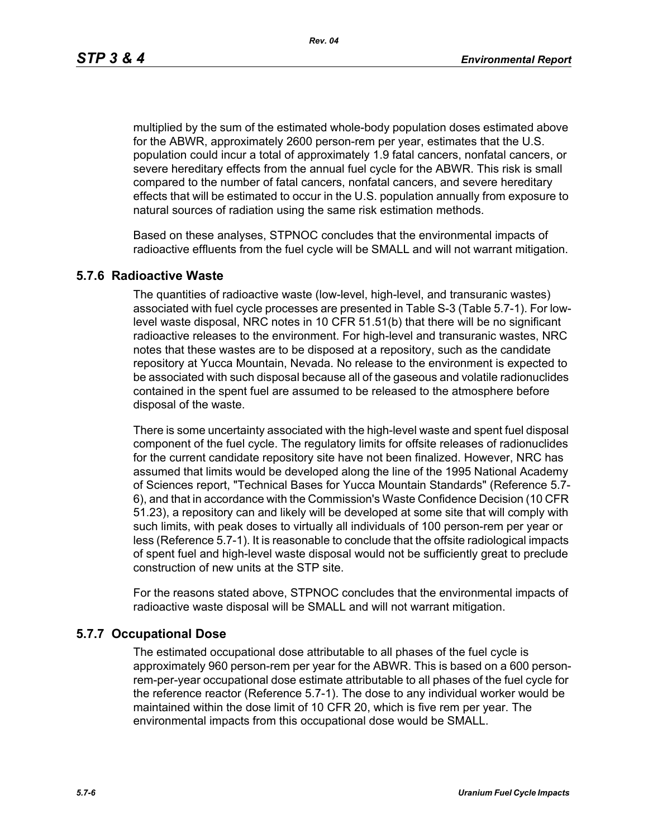*Rev. 04*

multiplied by the sum of the estimated whole-body population doses estimated above for the ABWR, approximately 2600 person-rem per year, estimates that the U.S. population could incur a total of approximately 1.9 fatal cancers, nonfatal cancers, or severe hereditary effects from the annual fuel cycle for the ABWR. This risk is small compared to the number of fatal cancers, nonfatal cancers, and severe hereditary effects that will be estimated to occur in the U.S. population annually from exposure to natural sources of radiation using the same risk estimation methods.

Based on these analyses, STPNOC concludes that the environmental impacts of radioactive effluents from the fuel cycle will be SMALL and will not warrant mitigation.

### **5.7.6 Radioactive Waste**

The quantities of radioactive waste (low-level, high-level, and transuranic wastes) associated with fuel cycle processes are presented in Table S-3 (Table 5.7-1). For lowlevel waste disposal, NRC notes in 10 CFR 51.51(b) that there will be no significant radioactive releases to the environment. For high-level and transuranic wastes, NRC notes that these wastes are to be disposed at a repository, such as the candidate repository at Yucca Mountain, Nevada. No release to the environment is expected to be associated with such disposal because all of the gaseous and volatile radionuclides contained in the spent fuel are assumed to be released to the atmosphere before disposal of the waste.

There is some uncertainty associated with the high-level waste and spent fuel disposal component of the fuel cycle. The regulatory limits for offsite releases of radionuclides for the current candidate repository site have not been finalized. However, NRC has assumed that limits would be developed along the line of the 1995 National Academy of Sciences report, "Technical Bases for Yucca Mountain Standards" (Reference 5.7- 6), and that in accordance with the Commission's Waste Confidence Decision (10 CFR 51.23), a repository can and likely will be developed at some site that will comply with such limits, with peak doses to virtually all individuals of 100 person-rem per year or less (Reference 5.7-1). It is reasonable to conclude that the offsite radiological impacts of spent fuel and high-level waste disposal would not be sufficiently great to preclude construction of new units at the STP site.

For the reasons stated above, STPNOC concludes that the environmental impacts of radioactive waste disposal will be SMALL and will not warrant mitigation.

## **5.7.7 Occupational Dose**

The estimated occupational dose attributable to all phases of the fuel cycle is approximately 960 person-rem per year for the ABWR. This is based on a 600 personrem-per-year occupational dose estimate attributable to all phases of the fuel cycle for the reference reactor (Reference 5.7-1). The dose to any individual worker would be maintained within the dose limit of 10 CFR 20, which is five rem per year. The environmental impacts from this occupational dose would be SMALL.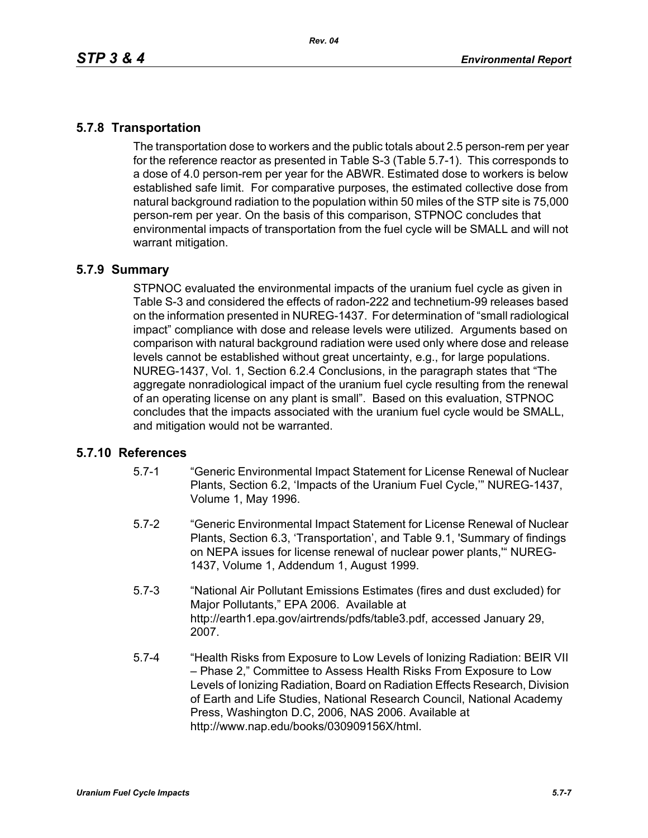# **5.7.8 Transportation**

The transportation dose to workers and the public totals about 2.5 person-rem per year for the reference reactor as presented in Table S-3 (Table 5.7-1). This corresponds to a dose of 4.0 person-rem per year for the ABWR. Estimated dose to workers is below established safe limit. For comparative purposes, the estimated collective dose from natural background radiation to the population within 50 miles of the STP site is 75,000 person-rem per year. On the basis of this comparison, STPNOC concludes that environmental impacts of transportation from the fuel cycle will be SMALL and will not warrant mitigation.

### **5.7.9 Summary**

STPNOC evaluated the environmental impacts of the uranium fuel cycle as given in Table S-3 and considered the effects of radon-222 and technetium-99 releases based on the information presented in NUREG-1437. For determination of "small radiological impact" compliance with dose and release levels were utilized. Arguments based on comparison with natural background radiation were used only where dose and release levels cannot be established without great uncertainty, e.g., for large populations. NUREG-1437, Vol. 1, Section 6.2.4 Conclusions, in the paragraph states that "The aggregate nonradiological impact of the uranium fuel cycle resulting from the renewal of an operating license on any plant is small". Based on this evaluation, STPNOC concludes that the impacts associated with the uranium fuel cycle would be SMALL, and mitigation would not be warranted.

### **5.7.10 References**

- 5.7-1 "Generic Environmental Impact Statement for License Renewal of Nuclear Plants, Section 6.2, 'Impacts of the Uranium Fuel Cycle,'" NUREG-1437, Volume 1, May 1996.
- 5.7-2 "Generic Environmental Impact Statement for License Renewal of Nuclear Plants, Section 6.3, 'Transportation', and Table 9.1, 'Summary of findings on NEPA issues for license renewal of nuclear power plants,'" NUREG-1437, Volume 1, Addendum 1, August 1999.
- 5.7-3 "National Air Pollutant Emissions Estimates (fires and dust excluded) for Major Pollutants," EPA 2006. Available at http://earth1.epa.gov/airtrends/pdfs/table3.pdf, accessed January 29, 2007.
- 5.7-4 "Health Risks from Exposure to Low Levels of Ionizing Radiation: BEIR VII – Phase 2," Committee to Assess Health Risks From Exposure to Low Levels of Ionizing Radiation, Board on Radiation Effects Research, Division of Earth and Life Studies, National Research Council, National Academy Press, Washington D.C, 2006, NAS 2006. Available at http://www.nap.edu/books/030909156X/html.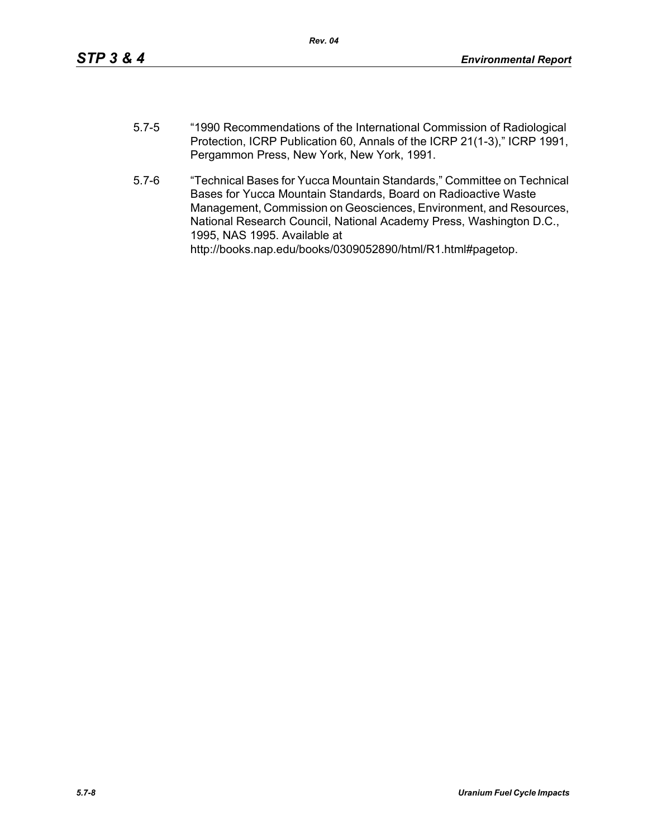- 5.7-5 "1990 Recommendations of the International Commission of Radiological Protection, ICRP Publication 60, Annals of the ICRP 21(1-3)," ICRP 1991, Pergammon Press, New York, New York, 1991.
- 5.7-6 "Technical Bases for Yucca Mountain Standards," Committee on Technical Bases for Yucca Mountain Standards, Board on Radioactive Waste Management, Commission on Geosciences, Environment, and Resources, National Research Council, National Academy Press, Washington D.C., 1995, NAS 1995. Available at http://books.nap.edu/books/0309052890/html/R1.html#pagetop.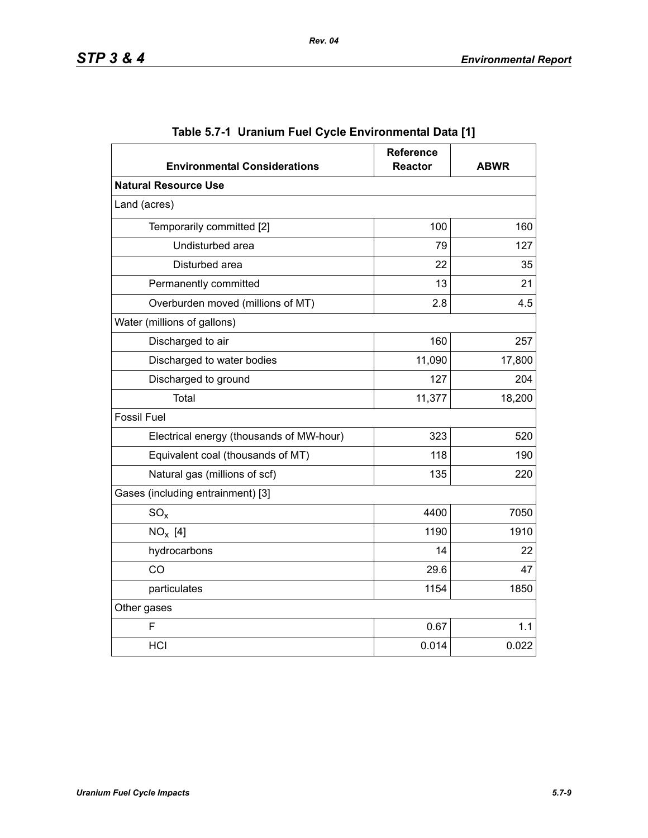| <b>Environmental Considerations</b>      | <b>Reference</b><br><b>Reactor</b> | <b>ABWR</b> |  |  |  |
|------------------------------------------|------------------------------------|-------------|--|--|--|
| <b>Natural Resource Use</b>              |                                    |             |  |  |  |
| Land (acres)                             |                                    |             |  |  |  |
| Temporarily committed [2]                | 100                                | 160         |  |  |  |
| Undisturbed area                         | 79                                 | 127         |  |  |  |
| Disturbed area                           | 22                                 | 35          |  |  |  |
| Permanently committed                    | 13                                 | 21          |  |  |  |
| Overburden moved (millions of MT)        | 2.8                                | 4.5         |  |  |  |
| Water (millions of gallons)              |                                    |             |  |  |  |
| 160<br>Discharged to air                 |                                    | 257         |  |  |  |
| Discharged to water bodies               | 11,090                             | 17,800      |  |  |  |
| Discharged to ground                     | 127                                | 204         |  |  |  |
| <b>Total</b>                             | 11,377                             | 18,200      |  |  |  |
| <b>Fossil Fuel</b>                       |                                    |             |  |  |  |
| Electrical energy (thousands of MW-hour) | 323                                | 520         |  |  |  |
| Equivalent coal (thousands of MT)        | 118                                | 190         |  |  |  |
| Natural gas (millions of scf)            | 135                                | 220         |  |  |  |
| Gases (including entrainment) [3]        |                                    |             |  |  |  |
| $SO_{x}$                                 | 4400                               | 7050        |  |  |  |
| $NO_x$ [4]                               | 1190                               | 1910        |  |  |  |
| hydrocarbons                             | 14                                 | 22          |  |  |  |
| CO                                       | 29.6                               | 47          |  |  |  |
| particulates                             | 1154                               | 1850        |  |  |  |
| Other gases                              |                                    |             |  |  |  |
| F                                        | 0.67                               | 1.1         |  |  |  |
| <b>HCI</b>                               | 0.014                              | 0.022       |  |  |  |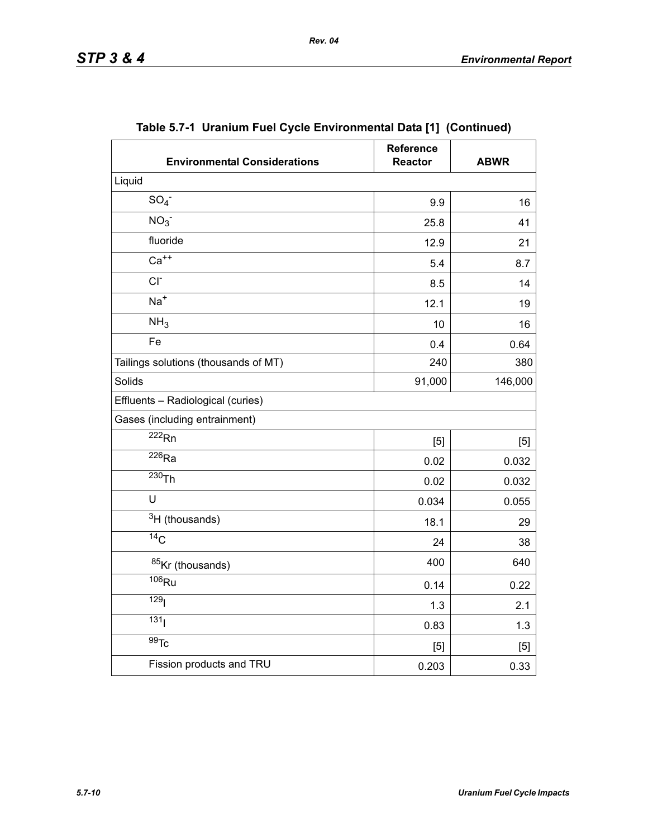| <b>Environmental Considerations</b>  | <b>Reference</b><br><b>Reactor</b> | <b>ABWR</b> |
|--------------------------------------|------------------------------------|-------------|
| Liquid                               |                                    |             |
| SO <sub>4</sub>                      | 9.9                                | 16          |
| NO <sub>3</sub>                      | 25.8                               | 41          |
| fluoride                             | 12.9                               | 21          |
| $Ca++$                               | 5.4                                | 8.7         |
| $CI-$<br>8.5                         |                                    | 14          |
| $Na+$                                | 12.1                               | 19          |
| NH <sub>3</sub>                      | 10                                 | 16          |
| Fe                                   | 0.4                                | 0.64        |
| Tailings solutions (thousands of MT) | 240                                | 380         |
| Solids                               | 91,000                             | 146,000     |
| Effluents - Radiological (curies)    |                                    |             |
| Gases (including entrainment)        |                                    |             |
| $\overline{222}$ Rn                  | $[5]$                              | [5]         |
| $\overline{^{226}}$ Ra               | 0.02                               | 0.032       |
| $230$ Th                             | 0.02                               | 0.032       |
| U                                    | 0.034                              | 0.055       |
| $3H$ (thousands)                     | 18.1                               | 29          |
| $\overline{^{14}C}$                  | 24                                 | 38          |
| 85Kr (thousands)                     | 400                                | 640         |
| $\overline{106}$ Ru                  | 0.14                               | 0.22        |
| 129 <sub>l</sub>                     | 1.3                                | 2.1         |
| 131                                  | 0.83                               | 1.3         |
| $\overline{99}$ Tc                   | [5]                                | [5]         |
| Fission products and TRU             | 0.203                              | 0.33        |